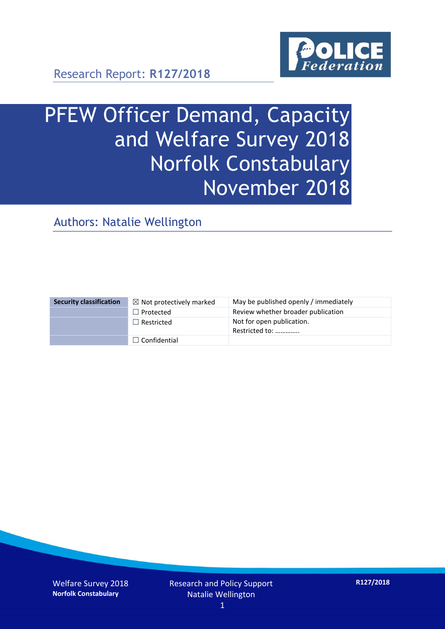

Research Report: **R127/2018**

# PFEW Officer Demand, Capacity and Welfare Survey 2018 Norfolk Constabulary November 2018

Authors: Natalie Wellington

| <b>Security classification</b> | $\boxtimes$ Not protectively marked | May be published openly / immediately       |
|--------------------------------|-------------------------------------|---------------------------------------------|
|                                | $\Box$ Protected                    | Review whether broader publication          |
|                                | $\Box$ Restricted                   | Not for open publication.<br>Restricted to: |
|                                | $\Box$ Confidential                 |                                             |

Welfare Survey 2018 **Norfolk Constabulary**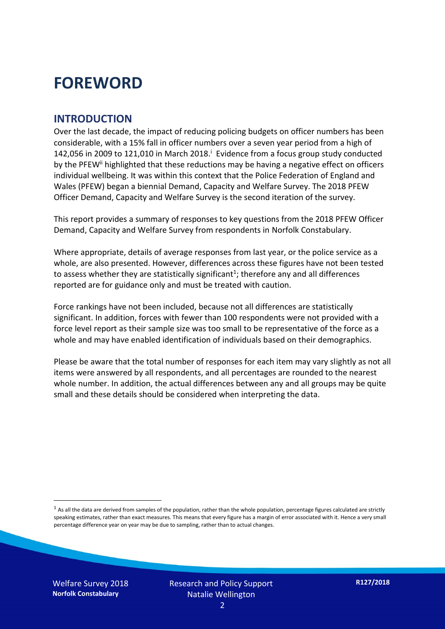### **FOREWORD**

#### **INTRODUCTION**

Over the last decade, the impact of reducing policing budgets on officer numbers has been considerable, with a 15% fall in officer numbers over a seven year period from a high of 142,056 in 2009 to 121,010 in March 2018. $^{\mathrm{i}}$  Evidence from a focus group study conducted by the PFEW<sup>ii</sup> highlighted that these reductions may be having a negative effect on officers individual wellbeing. It was within this context that the Police Federation of England and Wales (PFEW) began a biennial Demand, Capacity and Welfare Survey. The 2018 PFEW Officer Demand, Capacity and Welfare Survey is the second iteration of the survey.

This report provides a summary of responses to key questions from the 2018 PFEW Officer Demand, Capacity and Welfare Survey from respondents in Norfolk Constabulary.

Where appropriate, details of average responses from last year, or the police service as a whole, are also presented. However, differences across these figures have not been tested to assess whether they are statistically significant<sup>1</sup>; therefore any and all differences reported are for guidance only and must be treated with caution.

Force rankings have not been included, because not all differences are statistically significant. In addition, forces with fewer than 100 respondents were not provided with a force level report as their sample size was too small to be representative of the force as a whole and may have enabled identification of individuals based on their demographics.

Please be aware that the total number of responses for each item may vary slightly as not all items were answered by all respondents, and all percentages are rounded to the nearest whole number. In addition, the actual differences between any and all groups may be quite small and these details should be considered when interpreting the data.

 $<sup>1</sup>$  As all the data are derived from samples of the population, rather than the whole population, percentage figures calculated are strictly</sup> speaking estimates, rather than exact measures. This means that every figure has a margin of error associated with it. Hence a very small percentage difference year on year may be due to sampling, rather than to actual changes.

Welfare Survey 2018 **Norfolk Constabulary**

-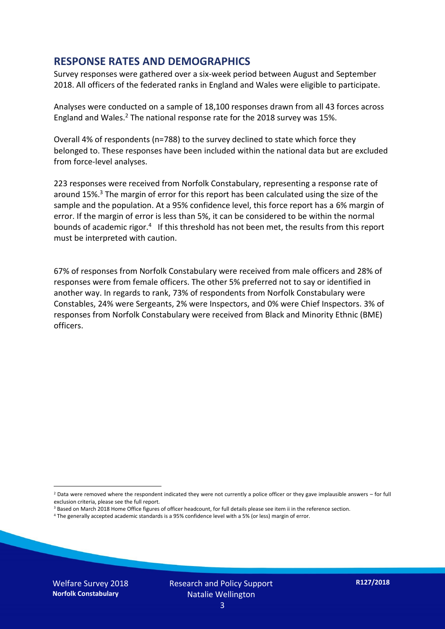#### **RESPONSE RATES AND DEMOGRAPHICS**

Survey responses were gathered over a six-week period between August and September 2018. All officers of the federated ranks in England and Wales were eligible to participate.

Analyses were conducted on a sample of 18,100 responses drawn from all 43 forces across England and Wales.<sup>2</sup> The national response rate for the 2018 survey was 15%.

Overall 4% of respondents (n=788) to the survey declined to state which force they belonged to. These responses have been included within the national data but are excluded from force-level analyses.

223 responses were received from Norfolk Constabulary, representing a response rate of around 15%. <sup>3</sup> The margin of error for this report has been calculated using the size of the sample and the population. At a 95% confidence level, this force report has a 6% margin of error. If the margin of error is less than 5%, it can be considered to be within the normal bounds of academic rigor.<sup>4</sup> If this threshold has not been met, the results from this report must be interpreted with caution.

67% of responses from Norfolk Constabulary were received from male officers and 28% of responses were from female officers. The other 5% preferred not to say or identified in another way. In regards to rank, 73% of respondents from Norfolk Constabulary were Constables, 24% were Sergeants, 2% were Inspectors, and 0% were Chief Inspectors. 3% of responses from Norfolk Constabulary were received from Black and Minority Ethnic (BME) officers.

-

 $2$  Data were removed where the respondent indicated they were not currently a police officer or they gave implausible answers – for full exclusion criteria, please see the full report.

<sup>3</sup> Based on March 2018 Home Office figures of officer headcount, for full details please see item ii in the reference section.

<sup>4</sup> The generally accepted academic standards is a 95% confidence level with a 5% (or less) margin of error.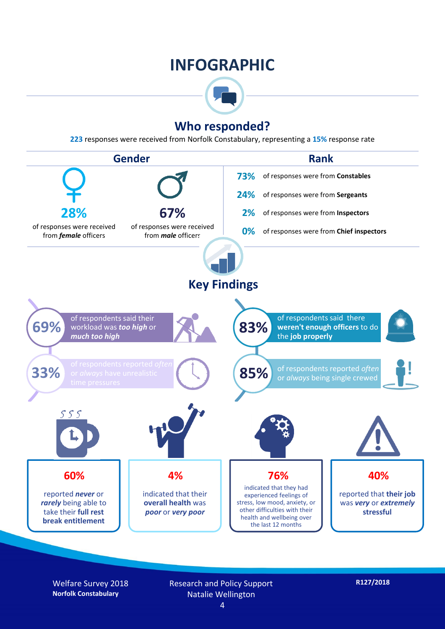### **INFOGRAPHIC**



#### **Who responded?**

**223** responses were received from Norfolk Constabulary, representing a **15%** response rate



Welfare Survey 2018 **Norfolk Constabulary**

Research and Policy Support Natalie Wellington

**R127/2018**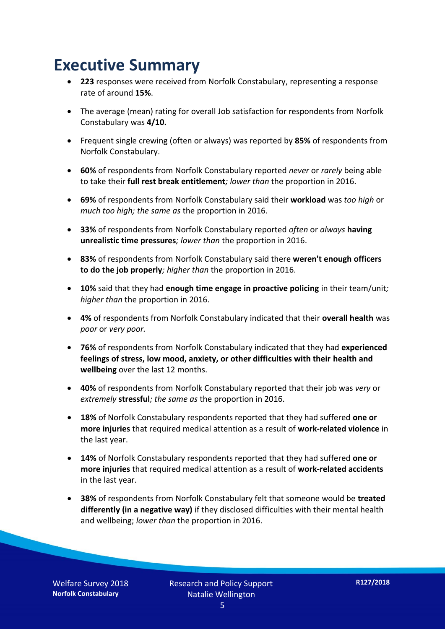### **Executive Summary**

- **223** responses were received from Norfolk Constabulary, representing a response rate of around **15%**.
- The average (mean) rating for overall Job satisfaction for respondents from Norfolk Constabulary was **4/10.**
- Frequent single crewing (often or always) was reported by **85%** of respondents from Norfolk Constabulary.
- **60%** of respondents from Norfolk Constabulary reported *never* or *rarely* being able to take their **full rest break entitlement***; lower than* the proportion in 2016.
- **69%** of respondents from Norfolk Constabulary said their **workload** was *too high* or *much too high; the same as* the proportion in 2016.
- **33%** of respondents from Norfolk Constabulary reported *often* or *always* **having unrealistic time pressures***; lower than* the proportion in 2016.
- **83%** of respondents from Norfolk Constabulary said there **weren't enough officers to do the job properly***; higher than* the proportion in 2016.
- **10%** said that they had **enough time engage in proactive policing** in their team/unit*; higher than* the proportion in 2016.
- **4%** of respondents from Norfolk Constabulary indicated that their **overall health** was *poor* or *very poor.*
- **76%** of respondents from Norfolk Constabulary indicated that they had **experienced feelings of stress, low mood, anxiety, or other difficulties with their health and wellbeing** over the last 12 months.
- **40%** of respondents from Norfolk Constabulary reported that their job was *very* or *extremely* **stressful***; the same as* the proportion in 2016.
- **18%** of Norfolk Constabulary respondents reported that they had suffered **one or more injuries** that required medical attention as a result of **work-related violence** in the last year.
- **14%** of Norfolk Constabulary respondents reported that they had suffered **one or more injuries** that required medical attention as a result of **work-related accidents**  in the last year.
- **38%** of respondents from Norfolk Constabulary felt that someone would be **treated differently (in a negative way)** if they disclosed difficulties with their mental health and wellbeing; *lower than* the proportion in 2016.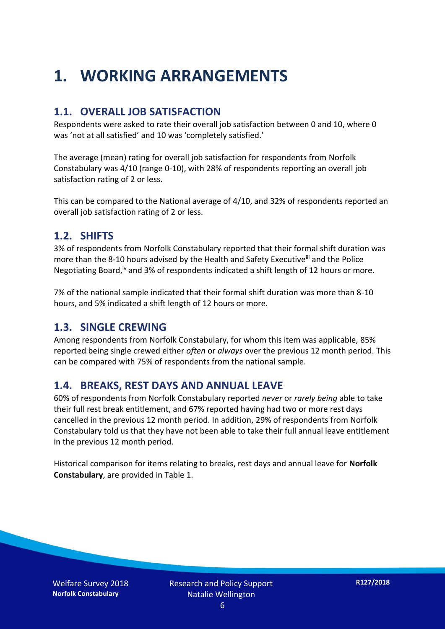## **1. WORKING ARRANGEMENTS**

#### **1.1. OVERALL JOB SATISFACTION**

Respondents were asked to rate their overall job satisfaction between 0 and 10, where 0 was 'not at all satisfied' and 10 was 'completely satisfied.'

The average (mean) rating for overall job satisfaction for respondents from Norfolk Constabulary was 4/10 (range 0-10), with 28% of respondents reporting an overall job satisfaction rating of 2 or less.

This can be compared to the National average of 4/10, and 32% of respondents reported an overall job satisfaction rating of 2 or less.

#### **1.2. SHIFTS**

3% of respondents from Norfolk Constabulary reported that their formal shift duration was more than the 8-10 hours advised by the Health and Safety Executive<sup>iii</sup> and the Police Negotiating Board,<sup>iv</sup> and 3% of respondents indicated a shift length of 12 hours or more.

7% of the national sample indicated that their formal shift duration was more than 8-10 hours, and 5% indicated a shift length of 12 hours or more.

#### **1.3. SINGLE CREWING**

Among respondents from Norfolk Constabulary, for whom this item was applicable, 85% reported being single crewed either *often* or *always* over the previous 12 month period. This can be compared with 75% of respondents from the national sample.

#### **1.4. BREAKS, REST DAYS AND ANNUAL LEAVE**

60% of respondents from Norfolk Constabulary reported *never* or *rarely being* able to take their full rest break entitlement, and 67% reported having had two or more rest days cancelled in the previous 12 month period. In addition, 29% of respondents from Norfolk Constabulary told us that they have not been able to take their full annual leave entitlement in the previous 12 month period.

Historical comparison for items relating to breaks, rest days and annual leave for **Norfolk Constabulary**, are provided in Table 1.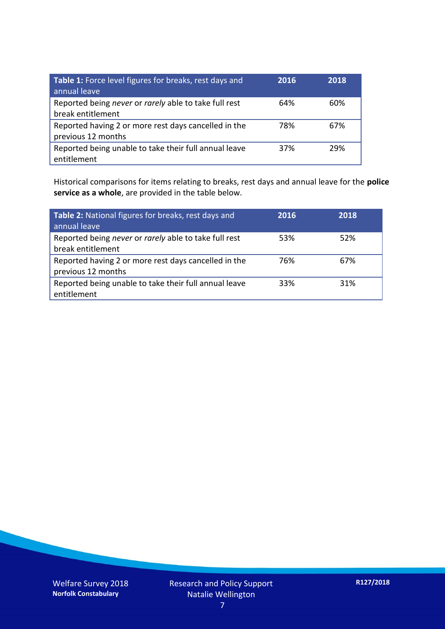| Table 1: Force level figures for breaks, rest days and<br>annual leave     | 2016 | 2018 |
|----------------------------------------------------------------------------|------|------|
| Reported being never or rarely able to take full rest<br>break entitlement | 64%  | 60%  |
| Reported having 2 or more rest days cancelled in the<br>previous 12 months | 78%  | 67%  |
| Reported being unable to take their full annual leave<br>entitlement       | 37%  | 29%  |

Historical comparisons for items relating to breaks, rest days and annual leave for the **police service as a whole**, are provided in the table below.

| Table 2: National figures for breaks, rest days and<br>annual leave        | 2016 | 2018 |
|----------------------------------------------------------------------------|------|------|
| Reported being never or rarely able to take full rest<br>break entitlement | 53%  | 52%  |
| Reported having 2 or more rest days cancelled in the<br>previous 12 months | 76%  | 67%  |
| Reported being unable to take their full annual leave<br>entitlement       | 33%  | 31%  |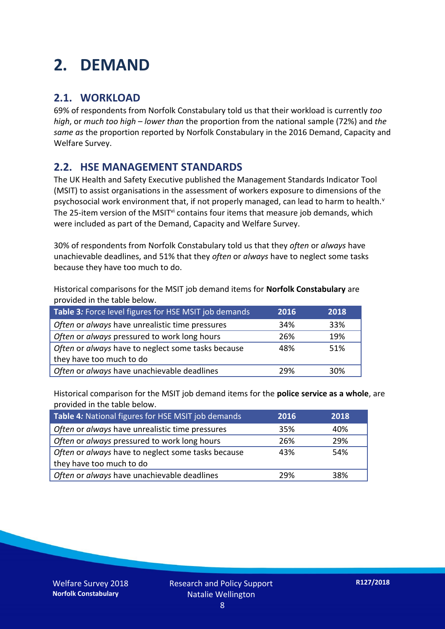### **2. DEMAND**

#### **2.1. WORKLOAD**

69% of respondents from Norfolk Constabulary told us that their workload is currently *too high*, or *much too high* – *lower than* the proportion from the national sample (72%) and *the same as* the proportion reported by Norfolk Constabulary in the 2016 Demand, Capacity and Welfare Survey.

#### **2.2. HSE MANAGEMENT STANDARDS**

The UK Health and Safety Executive published the Management Standards Indicator Tool (MSIT) to assist organisations in the assessment of workers exposure to dimensions of the psychosocial work environment that, if not properly managed, can lead to harm to health.<sup>v</sup> The 25-item version of the MSIT<sup>vi</sup> contains four items that measure job demands, which were included as part of the Demand, Capacity and Welfare Survey.

30% of respondents from Norfolk Constabulary told us that they *often* or *always* have unachievable deadlines, and 51% that they *often* or *always* have to neglect some tasks because they have too much to do.

Historical comparisons for the MSIT job demand items for **Norfolk Constabulary** are provided in the table below.

| Table 3: Force level figures for HSE MSIT job demands | 2016 | 2018 |
|-------------------------------------------------------|------|------|
| Often or always have unrealistic time pressures       | 34%  | 33%  |
| Often or always pressured to work long hours          | 26%  | 19%  |
| Often or always have to neglect some tasks because    | 48%  | 51%  |
| they have too much to do                              |      |      |
| Often or always have unachievable deadlines           | 29%  | 30%  |

Historical comparison for the MSIT job demand items for the **police service as a whole**, are provided in the table below.

| Table 4: National figures for HSE MSIT job demands | 2016 | 2018 |
|----------------------------------------------------|------|------|
| Often or always have unrealistic time pressures    | 35%  | 40%  |
| Often or always pressured to work long hours       | 26%  | 29%  |
| Often or always have to neglect some tasks because | 43%  | 54%  |
| they have too much to do                           |      |      |
| Often or always have unachievable deadlines        | 29%  | 38%  |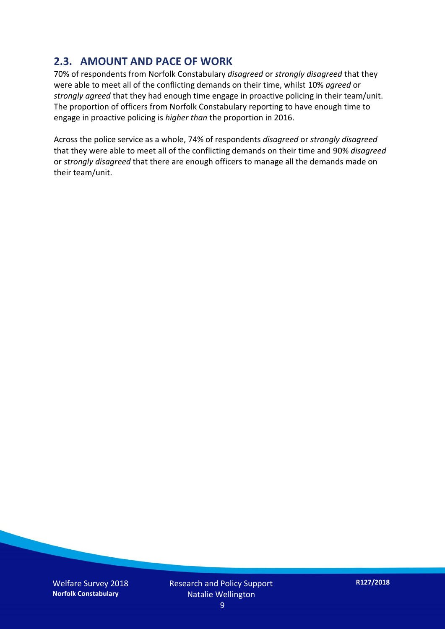#### **2.3. AMOUNT AND PACE OF WORK**

70% of respondents from Norfolk Constabulary *disagreed* or *strongly disagreed* that they were able to meet all of the conflicting demands on their time, whilst 10% *agreed* or *strongly agreed* that they had enough time engage in proactive policing in their team/unit. The proportion of officers from Norfolk Constabulary reporting to have enough time to engage in proactive policing is *higher than* the proportion in 2016.

Across the police service as a whole, 74% of respondents *disagreed* or *strongly disagreed* that they were able to meet all of the conflicting demands on their time and 90% *disagreed* or *strongly disagreed* that there are enough officers to manage all the demands made on their team/unit.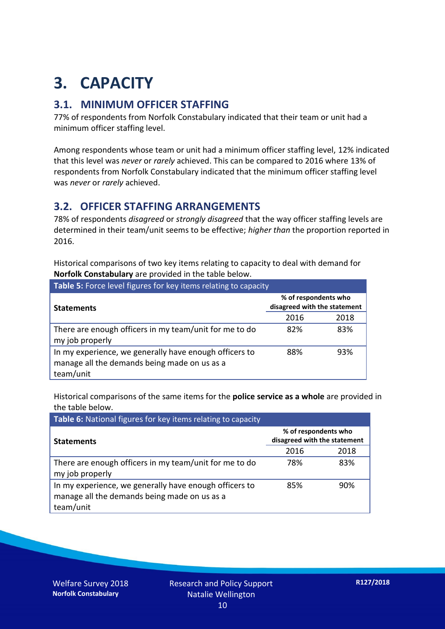## **3. CAPACITY**

#### **3.1. MINIMUM OFFICER STAFFING**

77% of respondents from Norfolk Constabulary indicated that their team or unit had a minimum officer staffing level.

Among respondents whose team or unit had a minimum officer staffing level, 12% indicated that this level was *never* or *rarely* achieved. This can be compared to 2016 where 13% of respondents from Norfolk Constabulary indicated that the minimum officer staffing level was *never* or *rarely* achieved.

#### **3.2. OFFICER STAFFING ARRANGEMENTS**

78% of respondents *disagreed* or *strongly disagreed* that the way officer staffing levels are determined in their team/unit seems to be effective; *higher than* the proportion reported in 2016.

Historical comparisons of two key items relating to capacity to deal with demand for **Norfolk Constabulary** are provided in the table below.

| <b>Table 5:</b> Force level figures for key items relating to capacity                                              |                                                      |      |  |
|---------------------------------------------------------------------------------------------------------------------|------------------------------------------------------|------|--|
| <b>Statements</b>                                                                                                   | % of respondents who<br>disagreed with the statement |      |  |
|                                                                                                                     | 2016                                                 | 2018 |  |
| There are enough officers in my team/unit for me to do<br>my job properly                                           | 82%                                                  | 83%  |  |
| In my experience, we generally have enough officers to<br>manage all the demands being made on us as a<br>team/unit | 88%                                                  | 93%  |  |

Historical comparisons of the same items for the **police service as a whole** are provided in the table below.

| Table 6: National figures for key items relating to capacity                                                        |                                                      |      |  |  |
|---------------------------------------------------------------------------------------------------------------------|------------------------------------------------------|------|--|--|
| <b>Statements</b>                                                                                                   | % of respondents who<br>disagreed with the statement |      |  |  |
|                                                                                                                     | 2016                                                 | 2018 |  |  |
| There are enough officers in my team/unit for me to do<br>my job properly                                           | 78%                                                  | 83%  |  |  |
| In my experience, we generally have enough officers to<br>manage all the demands being made on us as a<br>team/unit | 85%                                                  | 90%  |  |  |

Welfare Survey 2018 **Norfolk Constabulary**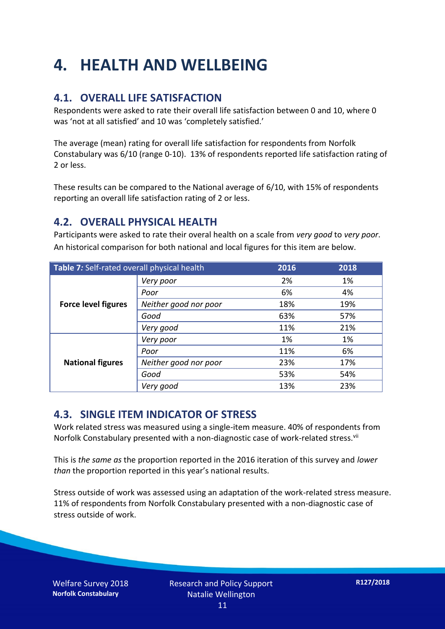## **4. HEALTH AND WELLBEING**

#### **4.1. OVERALL LIFE SATISFACTION**

Respondents were asked to rate their overall life satisfaction between 0 and 10, where 0 was 'not at all satisfied' and 10 was 'completely satisfied.'

The average (mean) rating for overall life satisfaction for respondents from Norfolk Constabulary was 6/10 (range 0-10). 13% of respondents reported life satisfaction rating of 2 or less.

These results can be compared to the National average of 6/10, with 15% of respondents reporting an overall life satisfaction rating of 2 or less.

#### **4.2. OVERALL PHYSICAL HEALTH**

Participants were asked to rate their overal health on a scale from *very good* to *very poor*. An historical comparison for both national and local figures for this item are below.

| Table 7: Self-rated overall physical health |                       | 2016 | 2018 |
|---------------------------------------------|-----------------------|------|------|
|                                             | Very poor             | 2%   | 1%   |
|                                             | Poor                  | 6%   | 4%   |
| <b>Force level figures</b>                  | Neither good nor poor | 18%  | 19%  |
|                                             | Good                  | 63%  | 57%  |
|                                             | Very good             | 11%  | 21%  |
| <b>National figures</b>                     | Very poor             | 1%   | 1%   |
|                                             | Poor                  | 11%  | 6%   |
|                                             | Neither good nor poor | 23%  | 17%  |
|                                             | Good                  | 53%  | 54%  |
|                                             | Very good             | 13%  | 23%  |

#### **4.3. SINGLE ITEM INDICATOR OF STRESS**

Work related stress was measured using a single-item measure. 40% of respondents from Norfolk Constabulary presented with a non-diagnostic case of work-related stress.<sup>vii</sup>

This is *the same as* the proportion reported in the 2016 iteration of this survey and *lower than* the proportion reported in this year's national results.

Stress outside of work was assessed using an adaptation of the work-related stress measure. 11% of respondents from Norfolk Constabulary presented with a non-diagnostic case of stress outside of work.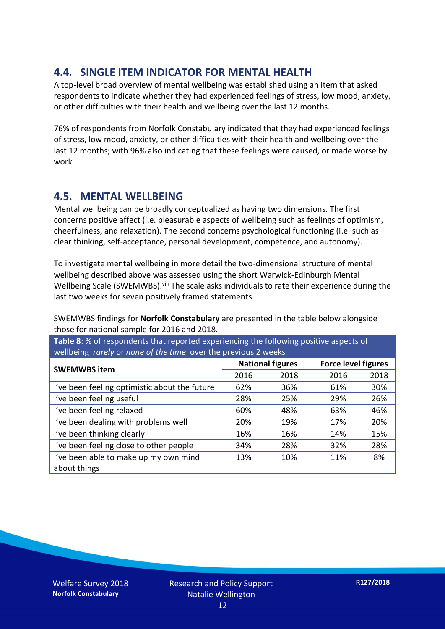#### **4.4. SINGLE ITEM INDICATOR FOR MENTAL HEALTH**

A top-level broad overview of mental wellbeing was established using an item that asked respondents to indicate whether they had experienced feelings of stress, low mood, anxiety, or other difficulties with their health and wellbeing over the last 12 months.

76% of respondents from Norfolk Constabulary indicated that they had experienced feelings of stress, low mood, anxiety, or other difficulties with their health and wellbeing over the last 12 months; with 96% also indicating that these feelings were caused, or made worse by work.

#### **4.5. MENTAL WELLBEING**

Mental wellbeing can be broadly conceptualized as having two dimensions. The first concerns positive affect (i.e. pleasurable aspects of wellbeing such as feelings of optimism, cheerfulness, and relaxation). The second concerns psychological functioning (i.e. such as clear thinking, self-acceptance, personal development, competence, and autonomy).

To investigate mental wellbeing in more detail the two-dimensional structure of mental wellbeing described above was assessed using the short Warwick-Edinburgh Mental Wellbeing Scale (SWEMWBS). viii The scale asks individuals to rate their experience during the last two weeks for seven positively framed statements.

SWEMWBS findings for **Norfolk Constabulary** are presented in the table below alongside those for national sample for 2016 and 2018.

**Table 8**: % of respondents that reported experiencing the following positive aspects of wellbeing *rarely* or *none of the time* over the previous 2 weeks

| <b>SWEMWBS item</b>                           | <b>National figures</b> |      | <b>Force level figures</b> |      |
|-----------------------------------------------|-------------------------|------|----------------------------|------|
|                                               | 2016                    | 2018 | 2016                       | 2018 |
| I've been feeling optimistic about the future | 62%                     | 36%  | 61%                        | 30%  |
| I've been feeling useful                      | 28%                     | 25%  | 29%                        | 26%  |
| I've been feeling relaxed                     | 60%                     | 48%  | 63%                        | 46%  |
| I've been dealing with problems well          | 20%                     | 19%  | 17%                        | 20%  |
| I've been thinking clearly                    | 16%                     | 16%  | 14%                        | 15%  |
| I've been feeling close to other people       | 34%                     | 28%  | 32%                        | 28%  |
| I've been able to make up my own mind         | 13%                     | 10%  | 11%                        | 8%   |
| about things                                  |                         |      |                            |      |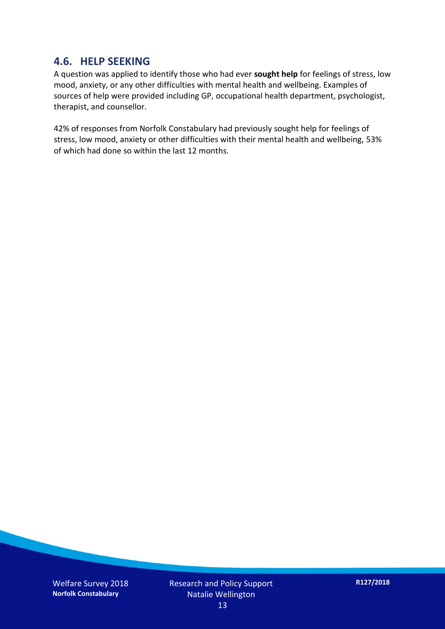#### **4.6. HELP SEEKING**

A question was applied to identify those who had ever **sought help** for feelings of stress, low mood, anxiety, or any other difficulties with mental health and wellbeing. Examples of sources of help were provided including GP, occupational health department, psychologist, therapist, and counsellor.

42% of responses from Norfolk Constabulary had previously sought help for feelings of stress, low mood, anxiety or other difficulties with their mental health and wellbeing, 53% of which had done so within the last 12 months.

Welfare Survey 2018 **Norfolk Constabulary**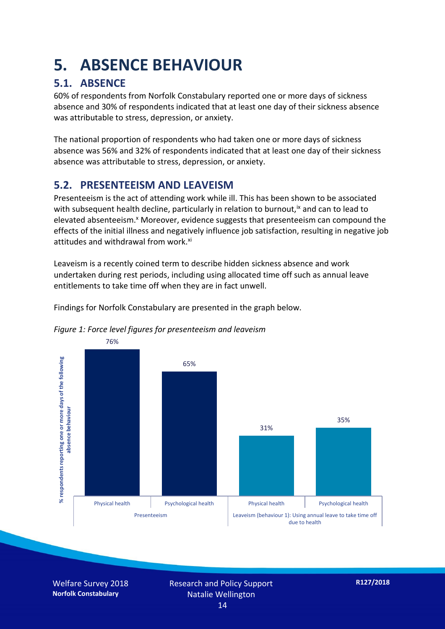### **5. ABSENCE BEHAVIOUR**

#### **5.1. ABSENCE**

60% of respondents from Norfolk Constabulary reported one or more days of sickness absence and 30% of respondents indicated that at least one day of their sickness absence was attributable to stress, depression, or anxiety.

The national proportion of respondents who had taken one or more days of sickness absence was 56% and 32% of respondents indicated that at least one day of their sickness absence was attributable to stress, depression, or anxiety.

#### **5.2. PRESENTEEISM AND LEAVEISM**

Presenteeism is the act of attending work while ill. This has been shown to be associated with subsequent health decline, particularly in relation to burnout,  $\alpha$  and can to lead to elevated absenteeism.<sup>x</sup> Moreover, evidence suggests that presenteeism can compound the effects of the initial illness and negatively influence job satisfaction, resulting in negative job attitudes and withdrawal from work.<sup>xi</sup>

Leaveism is a recently coined term to describe hidden sickness absence and work undertaken during rest periods, including using allocated time off such as annual leave entitlements to take time off when they are in fact unwell.

Findings for Norfolk Constabulary are presented in the graph below.





Welfare Survey 2018 **Norfolk Constabulary**

Research and Policy Support Natalie Wellington 14

**R127/2018**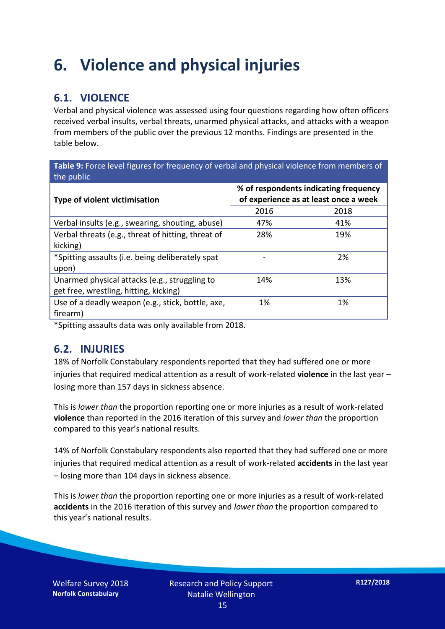### **6. Violence and physical injuries**

#### **6.1. VIOLENCE**

Verbal and physical violence was assessed using four questions regarding how often officers received verbal insults, verbal threats, unarmed physical attacks, and attacks with a weapon from members of the public over the previous 12 months. Findings are presented in the table below.

**Table 9:** Force level figures for frequency of verbal and physical violence from members of the public

| Type of violent victimisation                      | % of respondents indicating frequency<br>of experience as at least once a week |      |  |
|----------------------------------------------------|--------------------------------------------------------------------------------|------|--|
|                                                    | 2016                                                                           | 2018 |  |
| Verbal insults (e.g., swearing, shouting, abuse)   | 47%                                                                            | 41%  |  |
| Verbal threats (e.g., threat of hitting, threat of | 28%                                                                            | 19%  |  |
| kicking)                                           |                                                                                |      |  |
| *Spitting assaults (i.e. being deliberately spat   |                                                                                | 2%   |  |
| upon)                                              |                                                                                |      |  |
| Unarmed physical attacks (e.g., struggling to      | 14%                                                                            | 13%  |  |
| get free, wrestling, hitting, kicking)             |                                                                                |      |  |
| Use of a deadly weapon (e.g., stick, bottle, axe,  | 1%                                                                             | 1%   |  |
| firearm)                                           |                                                                                |      |  |

\*Spitting assaults data was only available from 2018.

#### **6.2. INJURIES**

18% of Norfolk Constabulary respondents reported that they had suffered one or more injuries that required medical attention as a result of work-related **violence** in the last year – losing more than 157 days in sickness absence.

This is *lower than* the proportion reporting one or more injuries as a result of work-related **violence** than reported in the 2016 iteration of this survey and *lower than* the proportion compared to this year's national results.

14% of Norfolk Constabulary respondents also reported that they had suffered one or more injuries that required medical attention as a result of work-related **accidents** in the last year – losing more than 104 days in sickness absence.

This is *lower than* the proportion reporting one or more injuries as a result of work-related **accidents** in the 2016 iteration of this survey and *lower than* the proportion compared to this year's national results.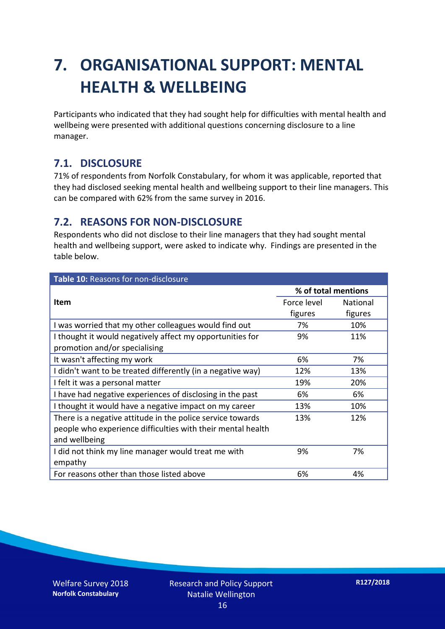## **7. ORGANISATIONAL SUPPORT: MENTAL HEALTH & WELLBEING**

Participants who indicated that they had sought help for difficulties with mental health and wellbeing were presented with additional questions concerning disclosure to a line manager.

#### **7.1. DISCLOSURE**

71% of respondents from Norfolk Constabulary, for whom it was applicable, reported that they had disclosed seeking mental health and wellbeing support to their line managers. This can be compared with 62% from the same survey in 2016.

#### **7.2. REASONS FOR NON-DISCLOSURE**

Respondents who did not disclose to their line managers that they had sought mental health and wellbeing support, were asked to indicate why. Findings are presented in the table below.

| Table 10: Reasons for non-disclosure                        |                     |                 |  |
|-------------------------------------------------------------|---------------------|-----------------|--|
|                                                             | % of total mentions |                 |  |
| Item                                                        | Force level         | <b>National</b> |  |
|                                                             | figures             | figures         |  |
| I was worried that my other colleagues would find out       | 7%                  | 10%             |  |
| I thought it would negatively affect my opportunities for   | 9%                  | 11%             |  |
| promotion and/or specialising                               |                     |                 |  |
| It wasn't affecting my work                                 | 6%                  | 7%              |  |
| I didn't want to be treated differently (in a negative way) | 12%                 | 13%             |  |
| I felt it was a personal matter                             | 19%                 | 20%             |  |
| I have had negative experiences of disclosing in the past   | 6%                  | 6%              |  |
| I thought it would have a negative impact on my career      | 13%                 | 10%             |  |
| There is a negative attitude in the police service towards  | 13%                 | 12%             |  |
| people who experience difficulties with their mental health |                     |                 |  |
| and wellbeing                                               |                     |                 |  |
| I did not think my line manager would treat me with         | 9%                  | 7%              |  |
| empathy                                                     |                     |                 |  |
| For reasons other than those listed above                   | 6%                  | 4%              |  |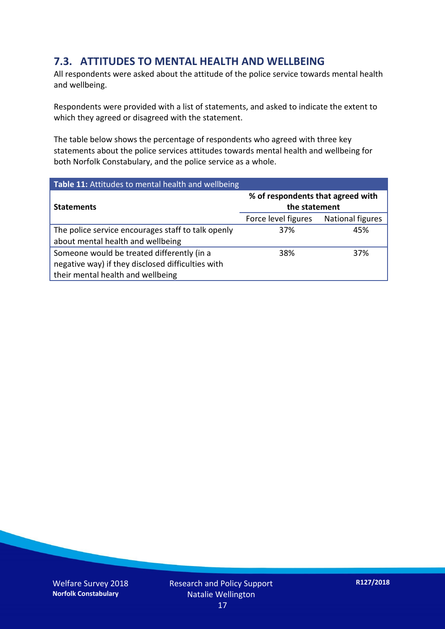#### **7.3. ATTITUDES TO MENTAL HEALTH AND WELLBEING**

All respondents were asked about the attitude of the police service towards mental health and wellbeing.

Respondents were provided with a list of statements, and asked to indicate the extent to which they agreed or disagreed with the statement.

The table below shows the percentage of respondents who agreed with three key statements about the police services attitudes towards mental health and wellbeing for both Norfolk Constabulary, and the police service as a whole.

| Table 11: Attitudes to mental health and wellbeing |                                                    |                         |  |
|----------------------------------------------------|----------------------------------------------------|-------------------------|--|
| <b>Statements</b>                                  | % of respondents that agreed with<br>the statement |                         |  |
|                                                    | Force level figures                                | <b>National figures</b> |  |
| The police service encourages staff to talk openly | 37%                                                | 45%                     |  |
| about mental health and wellbeing                  |                                                    |                         |  |
| Someone would be treated differently (in a         | 38%                                                | 37%                     |  |
| negative way) if they disclosed difficulties with  |                                                    |                         |  |
| their mental health and wellbeing                  |                                                    |                         |  |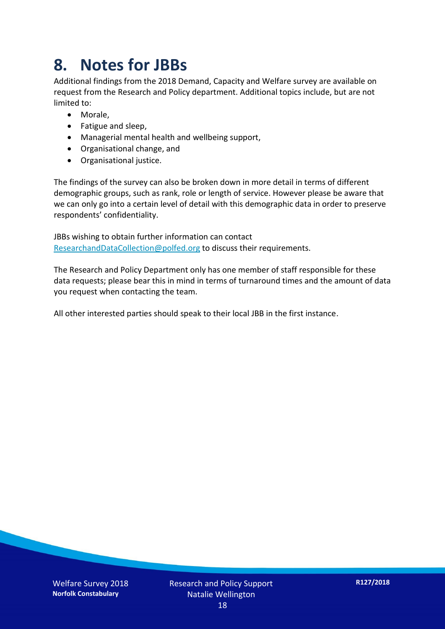### **8. Notes for JBBs**

Additional findings from the 2018 Demand, Capacity and Welfare survey are available on request from the Research and Policy department. Additional topics include, but are not limited to:

- Morale,
- Fatigue and sleep,
- Managerial mental health and wellbeing support,
- Organisational change, and
- Organisational justice.

The findings of the survey can also be broken down in more detail in terms of different demographic groups, such as rank, role or length of service. However please be aware that we can only go into a certain level of detail with this demographic data in order to preserve respondents' confidentiality.

JBBs wishing to obtain further information can contact [ResearchandDataCollection@polfed.org](mailto:ResearchandDataCollection@polfed.org) to discuss their requirements.

The Research and Policy Department only has one member of staff responsible for these data requests; please bear this in mind in terms of turnaround times and the amount of data you request when contacting the team.

All other interested parties should speak to their local JBB in the first instance.